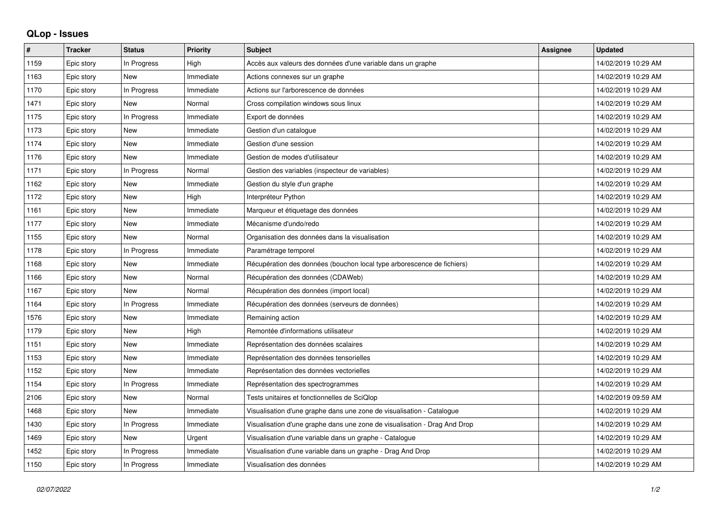## **QLop - Issues**

| ∦    | <b>Tracker</b> | <b>Status</b> | <b>Priority</b> | <b>Subject</b>                                                            | <b>Assignee</b> | <b>Updated</b>      |
|------|----------------|---------------|-----------------|---------------------------------------------------------------------------|-----------------|---------------------|
| 1159 | Epic story     | In Progress   | High            | Accès aux valeurs des données d'une variable dans un graphe               |                 | 14/02/2019 10:29 AM |
| 1163 | Epic story     | <b>New</b>    | Immediate       | Actions connexes sur un graphe                                            |                 | 14/02/2019 10:29 AM |
| 1170 | Epic story     | In Progress   | Immediate       | Actions sur l'arborescence de données                                     |                 | 14/02/2019 10:29 AM |
| 1471 | Epic story     | New           | Normal          | Cross compilation windows sous linux                                      |                 | 14/02/2019 10:29 AM |
| 1175 | Epic story     | In Progress   | Immediate       | Export de données                                                         |                 | 14/02/2019 10:29 AM |
| 1173 | Epic story     | <b>New</b>    | Immediate       | Gestion d'un catalogue                                                    |                 | 14/02/2019 10:29 AM |
| 1174 | Epic story     | <b>New</b>    | Immediate       | Gestion d'une session                                                     |                 | 14/02/2019 10:29 AM |
| 1176 | Epic story     | <b>New</b>    | Immediate       | Gestion de modes d'utilisateur                                            |                 | 14/02/2019 10:29 AM |
| 1171 | Epic story     | In Progress   | Normal          | Gestion des variables (inspecteur de variables)                           |                 | 14/02/2019 10:29 AM |
| 1162 | Epic story     | <b>New</b>    | Immediate       | Gestion du style d'un graphe                                              |                 | 14/02/2019 10:29 AM |
| 1172 | Epic story     | <b>New</b>    | High            | Interpréteur Python                                                       |                 | 14/02/2019 10:29 AM |
| 1161 | Epic story     | <b>New</b>    | Immediate       | Marqueur et étiquetage des données                                        |                 | 14/02/2019 10:29 AM |
| 1177 | Epic story     | <b>New</b>    | Immediate       | Mécanisme d'undo/redo                                                     |                 | 14/02/2019 10:29 AM |
| 1155 | Epic story     | <b>New</b>    | Normal          | Organisation des données dans la visualisation                            |                 | 14/02/2019 10:29 AM |
| 1178 | Epic story     | In Progress   | Immediate       | Paramétrage temporel                                                      |                 | 14/02/2019 10:29 AM |
| 1168 | Epic story     | <b>New</b>    | Immediate       | Récupération des données (bouchon local type arborescence de fichiers)    |                 | 14/02/2019 10:29 AM |
| 1166 | Epic story     | <b>New</b>    | Normal          | Récupération des données (CDAWeb)                                         |                 | 14/02/2019 10:29 AM |
| 1167 | Epic story     | <b>New</b>    | Normal          | Récupération des données (import local)                                   |                 | 14/02/2019 10:29 AM |
| 1164 | Epic story     | In Progress   | Immediate       | Récupération des données (serveurs de données)                            |                 | 14/02/2019 10:29 AM |
| 1576 | Epic story     | <b>New</b>    | Immediate       | Remaining action                                                          |                 | 14/02/2019 10:29 AM |
| 1179 | Epic story     | <b>New</b>    | High            | Remontée d'informations utilisateur                                       |                 | 14/02/2019 10:29 AM |
| 1151 | Epic story     | <b>New</b>    | Immediate       | Représentation des données scalaires                                      |                 | 14/02/2019 10:29 AM |
| 1153 | Epic story     | <b>New</b>    | Immediate       | Représentation des données tensorielles                                   |                 | 14/02/2019 10:29 AM |
| 1152 | Epic story     | New           | Immediate       | Représentation des données vectorielles                                   |                 | 14/02/2019 10:29 AM |
| 1154 | Epic story     | In Progress   | Immediate       | Représentation des spectrogrammes                                         |                 | 14/02/2019 10:29 AM |
| 2106 | Epic story     | <b>New</b>    | Normal          | Tests unitaires et fonctionnelles de SciQlop                              |                 | 14/02/2019 09:59 AM |
| 1468 | Epic story     | New           | Immediate       | Visualisation d'une graphe dans une zone de visualisation - Catalogue     |                 | 14/02/2019 10:29 AM |
| 1430 | Epic story     | In Progress   | Immediate       | Visualisation d'une graphe dans une zone de visualisation - Drag And Drop |                 | 14/02/2019 10:29 AM |
| 1469 | Epic story     | <b>New</b>    | Urgent          | Visualisation d'une variable dans un graphe - Catalogue                   |                 | 14/02/2019 10:29 AM |
| 1452 | Epic story     | In Progress   | Immediate       | Visualisation d'une variable dans un graphe - Drag And Drop               |                 | 14/02/2019 10:29 AM |
| 1150 | Epic story     | In Progress   | Immediate       | Visualisation des données                                                 |                 | 14/02/2019 10:29 AM |